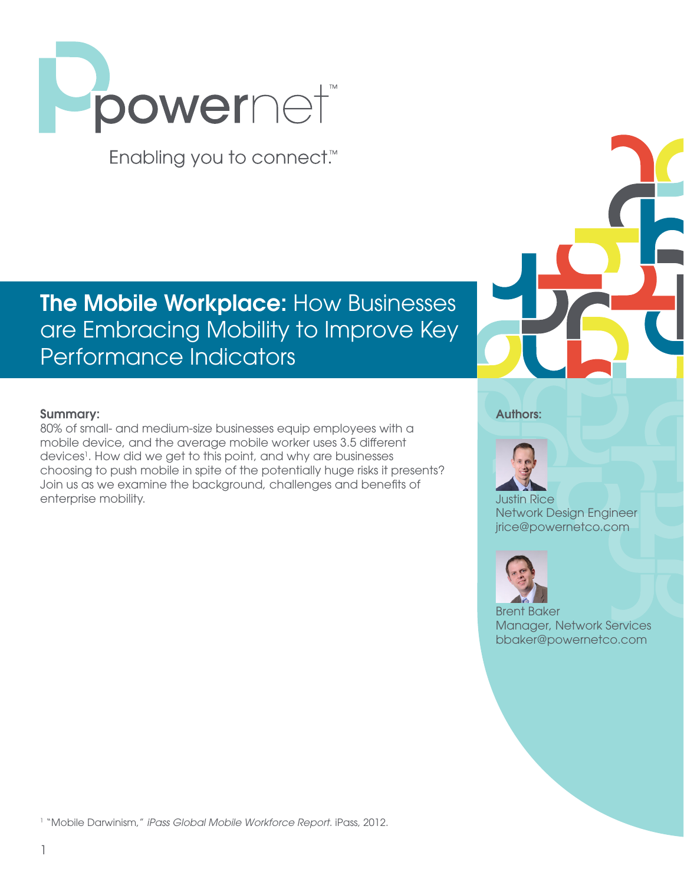

Enabling you to connect.<sup>™</sup>

# **The Mobile Workplace: How Businesses** are Embracing Mobility to Improve Key Performance Indicators

### Summary:

80% of small- and medium-size businesses equip employees with a mobile device, and the average mobile worker uses 3.5 different devices<sup>1</sup>. How did we get to this point, and why are businesses choosing to push mobile in spite of the potentially huge risks it presents? Join us as we examine the background, challenges and benefits of enterprise mobility.





Justin Rice Network Design Engineer jrice@powernetco.com



Brent Baker Manager, Network Services bbaker@powernetco.com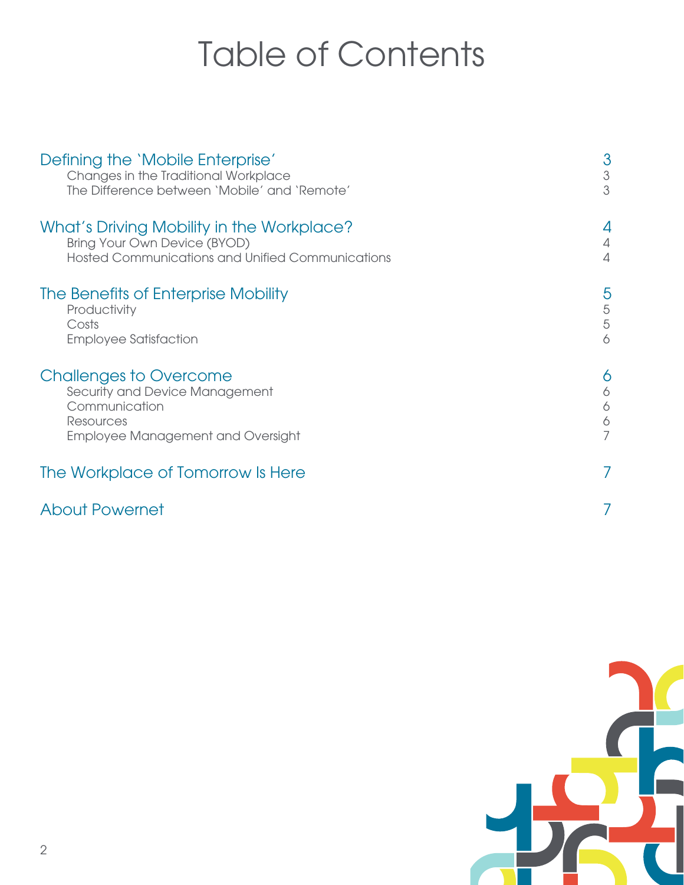# Table of Contents

| Defining the 'Mobile Enterprise'<br>Changes in the Traditional Workplace<br>The Difference between 'Mobile' and 'Remote'           | 3<br>$\ensuremath{\mathsf{3}}$<br>3 |
|------------------------------------------------------------------------------------------------------------------------------------|-------------------------------------|
| What's Driving Mobility in the Workplace?<br>Bring Your Own Device (BYOD)<br>Hosted Communications and Unified Communications      | 4                                   |
| The Benefits of Enterprise Mobility<br>Productivity<br>Costs<br><b>Employee Satisfaction</b>                                       | 5<br>5<br>5<br>6                    |
| <b>Challenges to Overcome</b><br>Security and Device Management<br>Communication<br>Resources<br>Employee Management and Oversight | Ô<br>6<br>6<br>6                    |
| The Workplace of Tomorrow Is Here                                                                                                  |                                     |
| <b>About Powernet</b>                                                                                                              |                                     |

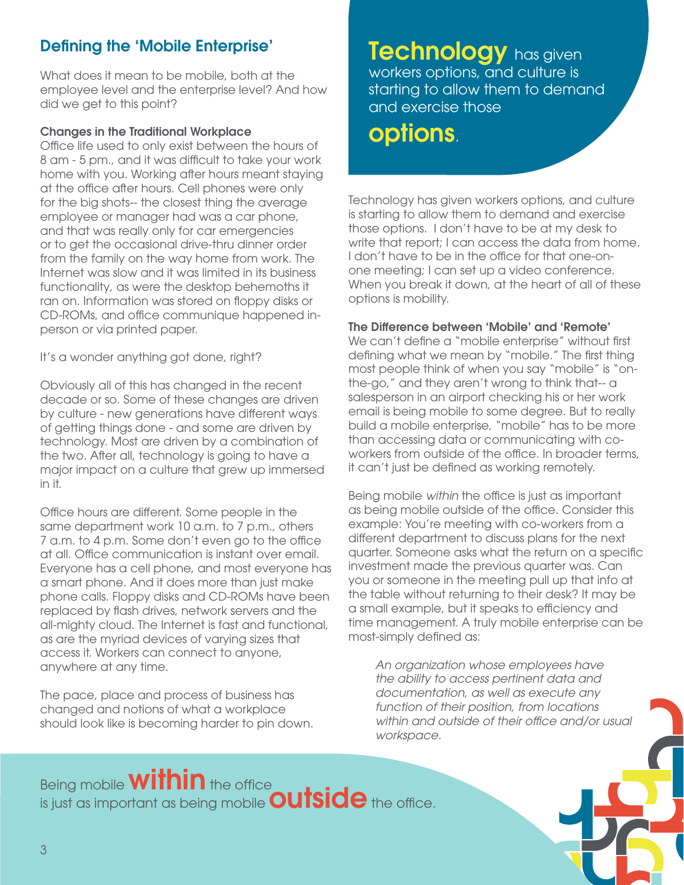# Defining the 'Mobile Enterprise'

What does it mean to be mobile, both at the employee level and the enterprise level? And how did we get to this point?

### Changes in the Traditional Workplace

Office life used to only exist between the hours of 8 am - 5 pm., and it was difficult to take your work home with you. Working after hours meant staying at the office after hours. Cell phones were only for the big shots-- the closest thing the average employee or manager had was a car phone, and that was really only for car emergencies or to get the occasional drive-thru dinner order from the family on the way home from work. The Internet was slow and it was limited in its business functionality, as were the desktop behemoths it ran on. Information was stored on floppy disks or CD-ROMs, and office communique happened inperson or via printed paper.

It's a wonder anything got done, right?

Obviously all of this has changed in the recent decade or so. Some of these changes are driven by culture - new generations have different ways of getting things done - and some are driven by technology. Most are driven by a combination of the two. After all, technology is going to have a major impact on a culture that grew up immersed in it.

Office hours are different. Some people in the same department work 10 a.m. to 7 p.m., others 7 a.m. to 4 p.m. Some don't even go to the office at all. Office communication is instant over email. Everyone has a cell phone, and most everyone has a smart phone. And it does more than just make phone calls. Floppy disks and CD-ROMs have been replaced by flash drives, network servers and the all-mighty cloud. The Internet is fast and functional, as are the myriad devices of varying sizes that access it. Workers can connect to anyone, anywhere at any time.

The pace, place and process of business has changed and notions of what a workplace should look like is becoming harder to pin down.

Technology has given workers options, and culture is starting to allow them to demand and exercise those

# options.

Technology has given workers options, and culture is starting to allow them to demand and exercise those options. I don't have to be at my desk to write that report; I can access the data from home. I don't have to be in the office for that one-onone meeting; I can set up a video conference. When you break it down, at the heart of all of these options is mobility.

### The Difference between 'Mobile' and 'Remote'

We can't define a "mobile enterprise" without first defining what we mean by "mobile." The first thing most people think of when you say "mobile" is "onthe-go," and they aren't wrong to think that-- a salesperson in an airport checking his or her work email is being mobile to some degree. But to really build a mobile enterprise, "mobile" has to be more than accessing data or communicating with coworkers from outside of the office. In broader terms, it can't just be defined as working remotely.

Being mobile *within* the office is just as important as being mobile outside of the office. Consider this example: You're meeting with co-workers from a different department to discuss plans for the next quarter. Someone asks what the return on a specific investment made the previous quarter was. Can you or someone in the meeting pull up that info at the table without returning to their desk? It may be a small example, but it speaks to efficiency and time management. A truly mobile enterprise can be most-simply defined as:

*An organization whose employees have the ability to access pertinent data and documentation, as well as execute any function of their position, from locations within and outside of their office and/or usual workspace.*

# Being mobile **within** the office is just as important as being mobile **Outside** the office.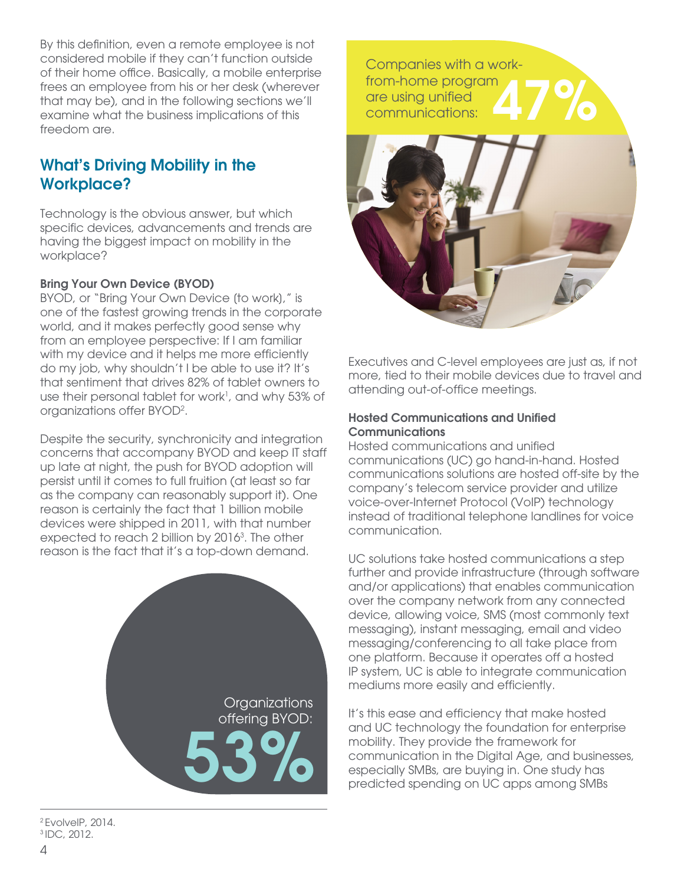By this definition, even a remote employee is not considered mobile if they can't function outside of their home office. Basically, a mobile enterprise frees an employee from his or her desk (wherever that may be), and in the following sections we'll examine what the business implications of this freedom are.

### What's Driving Mobility in the Workplace?

Technology is the obvious answer, but which specific devices, advancements and trends are having the biggest impact on mobility in the workplace?

### Bring Your Own Device (BYOD)

BYOD, or "Bring Your Own Device [to work]," is one of the fastest growing trends in the corporate world, and it makes perfectly good sense why from an employee perspective: If I am familiar with my device and it helps me more efficiently do my job, why shouldn't I be able to use it? It's that sentiment that drives 82% of tablet owners to use their personal tablet for work<sup>1</sup>, and why 53% of organizations offer BYOD2 .

Despite the security, synchronicity and integration concerns that accompany BYOD and keep IT staff up late at night, the push for BYOD adoption will persist until it comes to full fruition (at least so far as the company can reasonably support it). One reason is certainly the fact that 1 billion mobile devices were shipped in 2011, with that number expected to reach 2 billion by 2016<sup>3</sup>. The other reason is the fact that it's a top-down demand.



2 EvolveIP, 2014. 3 IDC, 2012.



Executives and C-level employees are just as, if not more, tied to their mobile devices due to travel and attending out-of-office meetings.

### Hosted Communications and Unified **Communications**

Hosted communications and unified communications (UC) go hand-in-hand. Hosted communications solutions are hosted off-site by the company's telecom service provider and utilize voice-over-Internet Protocol (VoIP) technology instead of traditional telephone landlines for voice communication.

UC solutions take hosted communications a step further and provide infrastructure (through software and/or applications) that enables communication over the company network from any connected device, allowing voice, SMS (most commonly text messaging), instant messaging, email and video messaging/conferencing to all take place from one platform. Because it operates off a hosted IP system, UC is able to integrate communication mediums more easily and efficiently.

It's this ease and efficiency that make hosted and UC technology the foundation for enterprise mobility. They provide the framework for communication in the Digital Age, and businesses, especially SMBs, are buying in. One study has predicted spending on UC apps among SMBs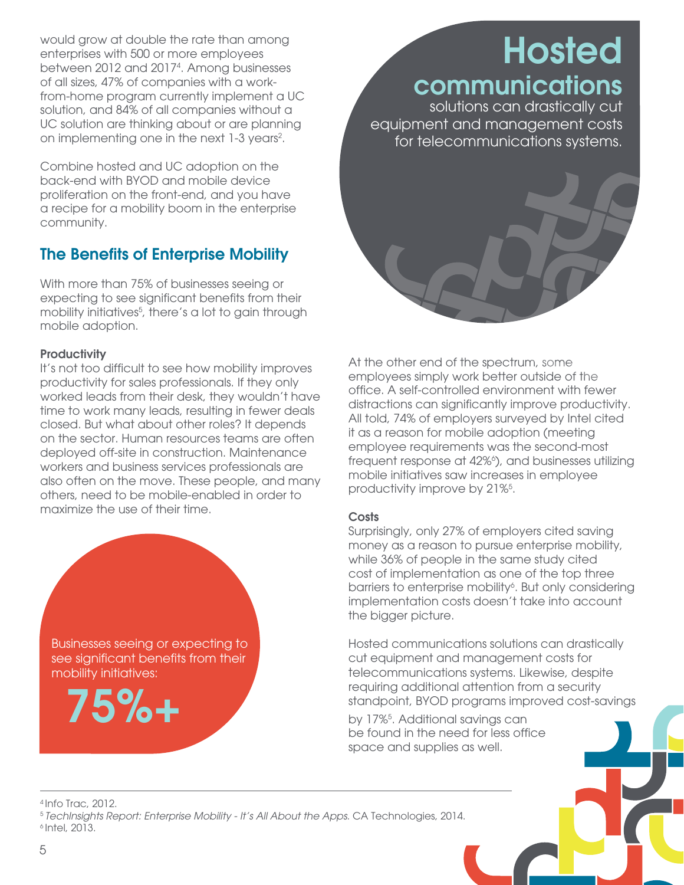would grow at double the rate than among enterprises with 500 or more employees between 2012 and 20174 . Among businesses of all sizes, 47% of companies with a workfrom-home program currently implement a UC solution, and 84% of all companies without a UC solution are thinking about or are planning on implementing one in the next 1-3 years<sup>2</sup>.

Combine hosted and UC adoption on the back-end with BYOD and mobile device proliferation on the front-end, and you have a recipe for a mobility boom in the enterprise community.

# The Benefits of Enterprise Mobility

With more than 75% of businesses seeing or expecting to see significant benefits from their mobility initiatives<sup>5</sup>, there's a lot to gain through mobile adoption.

### **Productivity**

It's not too difficult to see how mobility improves productivity for sales professionals. If they only worked leads from their desk, they wouldn't have time to work many leads, resulting in fewer deals closed. But what about other roles? It depends on the sector. Human resources teams are often deployed off-site in construction. Maintenance workers and business services professionals are also often on the move. These people, and many others, need to be mobile-enabled in order to maximize the use of their time.

Businesses seeing or expecting to see significant benefits from their mobility initiatives:

75%+

# communications solutions can drastically cut

Hosted

equipment and management costs for telecommunications systems.

At the other end of the spectrum, some employees simply work better outside of the office. A self-controlled environment with fewer distractions can significantly improve productivity. All told, 74% of employers surveyed by Intel cited it as a reason for mobile adoption (meeting employee requirements was the second-most frequent response at 42%<sup>6</sup>), and businesses utilizing mobile initiatives saw increases in employee productivity improve by 21%<sup>5</sup>.

### **Costs**

Surprisingly, only 27% of employers cited saving money as a reason to pursue enterprise mobility, while 36% of people in the same study cited cost of implementation as one of the top three barriers to enterprise mobility<sup>6</sup>. But only considering implementation costs doesn't take into account the bigger picture.

Hosted communications solutions can drastically cut equipment and management costs for telecommunications systems. Likewise, despite requiring additional attention from a security standpoint, BYOD programs improved cost-savings

by 17%5 . Additional savings can be found in the need for less office space and supplies as well.

4 Info Trac, 2012. <sup>5</sup>*TechInsights Report: Enterprise Mobility - It's All About the Apps*. CA Technologies, 2014. 6 Intel, 2013.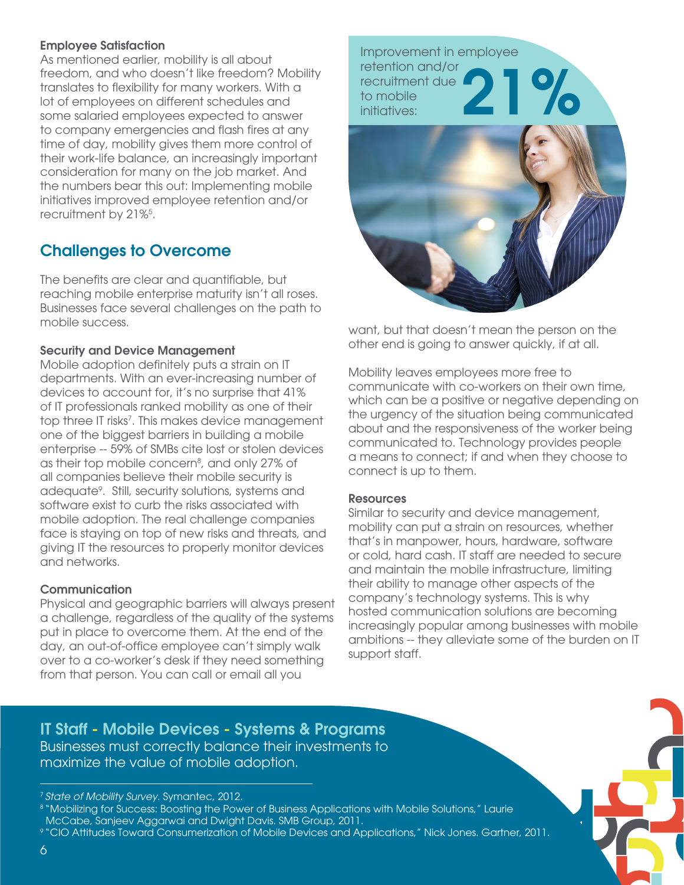### Employee Satisfaction

As mentioned earlier, mobility is all about freedom, and who doesn't like freedom? Mobility translates to flexibility for many workers. With a lot of employees on different schedules and some salaried employees expected to answer to company emergencies and flash fires at any time of day, mobility gives them more control of their work-life balance, an increasingly important consideration for many on the job market. And the numbers bear this out: Implementing mobile initiatives improved employee retention and/or recruitment by 21%<sup>5</sup>.

# Challenges to Overcome

The benefits are clear and quantifiable, but reaching mobile enterprise maturity isn't all roses. Businesses face several challenges on the path to mobile success.

### Security and Device Management

Mobile adoption definitely puts a strain on IT departments. With an ever-increasing number of devices to account for, it's no surprise that 41% of IT professionals ranked mobility as one of their top three IT risks<sup>7</sup>. This makes device management one of the biggest barriers in building a mobile enterprise -- 59% of SMBs cite lost or stolen devices as their top mobile concern<sup>8</sup>, and only 27% of all companies believe their mobile security is adequate9 . Still, security solutions, systems and software exist to curb the risks associated with mobile adoption. The real challenge companies face is staying on top of new risks and threats, and giving IT the resources to properly monitor devices and networks.

### **Communication**

Physical and geographic barriers will always present a challenge, regardless of the quality of the systems put in place to overcome them. At the end of the day, an out-of-office employee can't simply walk over to a co-worker's desk if they need something from that person. You can call or email all you



want, but that doesn't mean the person on the other end is going to answer quickly, if at all.

Mobility leaves employees more free to communicate with co-workers on their own time, which can be a positive or negative depending on the urgency of the situation being communicated about and the responsiveness of the worker being communicated to. Technology provides people a means to connect; if and when they choose to connect is up to them.

### **Resources**

Similar to security and device management, mobility can put a strain on resources, whether that's in manpower, hours, hardware, software or cold, hard cash. IT staff are needed to secure and maintain the mobile infrastructure, limiting their ability to manage other aspects of the company's technology systems. This is why hosted communication solutions are becoming increasingly popular among businesses with mobile ambitions -- they alleviate some of the burden on IT support staff.

IT Staff - Mobile Devices - Systems & Programs Businesses must correctly balance their investments to maximize the value of mobile adoption.

<sup>7</sup>*State of Mobility Survey*. Symantec, 2012.

<sup>8 &</sup>quot;Mobilizing for Success: Boosting the Power of Business Applications with Mobile Solutions," Laurie McCabe, Sanjeev Aggarwai and Dwight Davis. SMB Group, 2011.

<sup>9 &</sup>quot;CIO Attitudes Toward Consumerization of Mobile Devices and Applications," Nick Jones. Gartner, 2011.